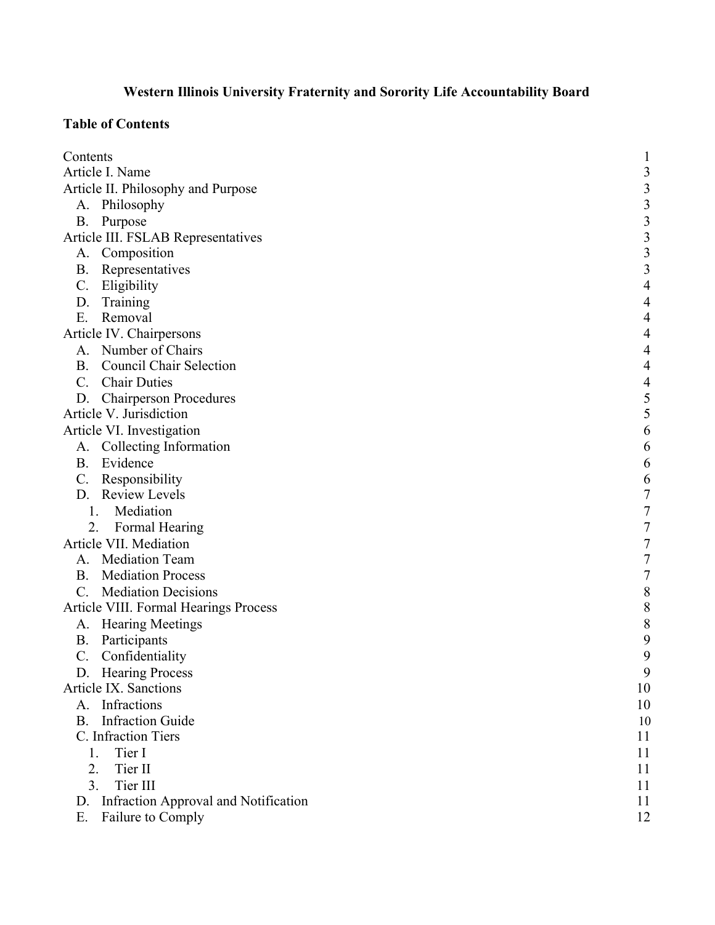# **Western Illinois University Fraternity and Sorority Life Accountability Board**

## <span id="page-0-0"></span>**Table of Contents**

| Contents                                     | 1                                          |
|----------------------------------------------|--------------------------------------------|
| Article I. Name                              | $\mathfrak{Z}$                             |
| Article II. Philosophy and Purpose           | $\mathfrak{Z}$                             |
| A. Philosophy                                |                                            |
| <b>B.</b><br>Purpose                         |                                            |
| Article III. FSLAB Representatives           | $\begin{array}{c} 3 \\ 3 \\ 3 \end{array}$ |
| A. Composition                               | $\overline{\mathbf{3}}$                    |
| Representatives<br><b>B.</b>                 | $\overline{\mathbf{3}}$                    |
| $\mathcal{C}$ .<br>Eligibility               | $\overline{4}$                             |
| D. Training                                  | $\overline{4}$                             |
| Removal<br>Ε.                                | $\overline{4}$                             |
| Article IV. Chairpersons                     | $\overline{4}$                             |
| A. Number of Chairs                          | $\overline{4}$                             |
| <b>B.</b> Council Chair Selection            | $\overline{4}$                             |
| C. Chair Duties                              | $\overline{\mathcal{A}}$                   |
| D. Chairperson Procedures                    | $\frac{5}{5}$                              |
| Article V. Jurisdiction                      |                                            |
| Article VI. Investigation                    | 6                                          |
| A. Collecting Information                    | 6                                          |
| B. Evidence                                  | 6                                          |
| $C_{\cdot}$<br>Responsibility                | $\sqrt{6}$                                 |
| D. Review Levels                             | $\sqrt{ }$                                 |
| 1. Mediation                                 | $\boldsymbol{7}$                           |
| Formal Hearing<br>2.                         | $\boldsymbol{7}$                           |
| Article VII. Mediation                       | $\overline{7}$                             |
| A. Mediation Team                            | $\overline{7}$                             |
| <b>B.</b> Mediation Process                  | $\boldsymbol{7}$                           |
| C. Mediation Decisions                       | $\, 8$                                     |
| <b>Article VIII. Formal Hearings Process</b> | $\, 8$                                     |
| A. Hearing Meetings                          | $\, 8$                                     |
| Participants<br><b>B.</b>                    | $\boldsymbol{9}$                           |
| $C$ .<br>Confidentiality                     | 9                                          |
| D. Hearing Process                           | 9                                          |
| Article IX. Sanctions                        | 10                                         |
| Infractions<br>A.                            | 10                                         |
| <b>Infraction Guide</b><br><b>B.</b>         | 10                                         |
| C. Infraction Tiers                          | 11                                         |
| Tier I<br>1.                                 | 11                                         |
| Tier II<br>2.                                | 11                                         |
| 3.<br>Tier III                               | 11                                         |
| Infraction Approval and Notification<br>D.   | 11                                         |
| Failure to Comply<br>Ε.                      | 12                                         |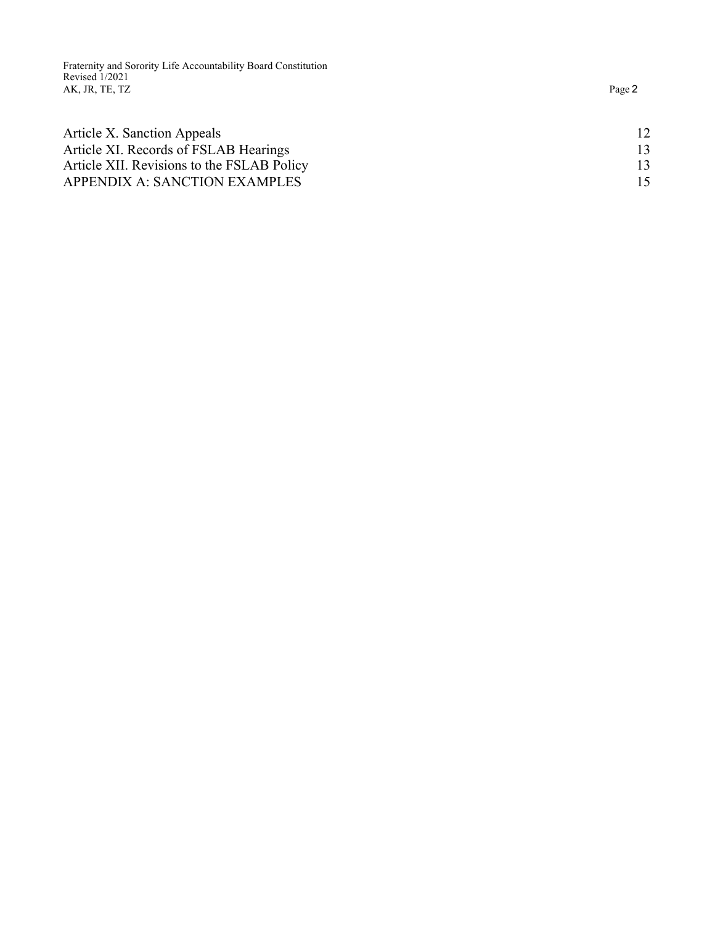Fraternity and Sorority Life Accountability Board Constitution Revised 1/2021 AK, JR, TE, TZ

| 12<br>13<br>13<br>15 |  |
|----------------------|--|
|                      |  |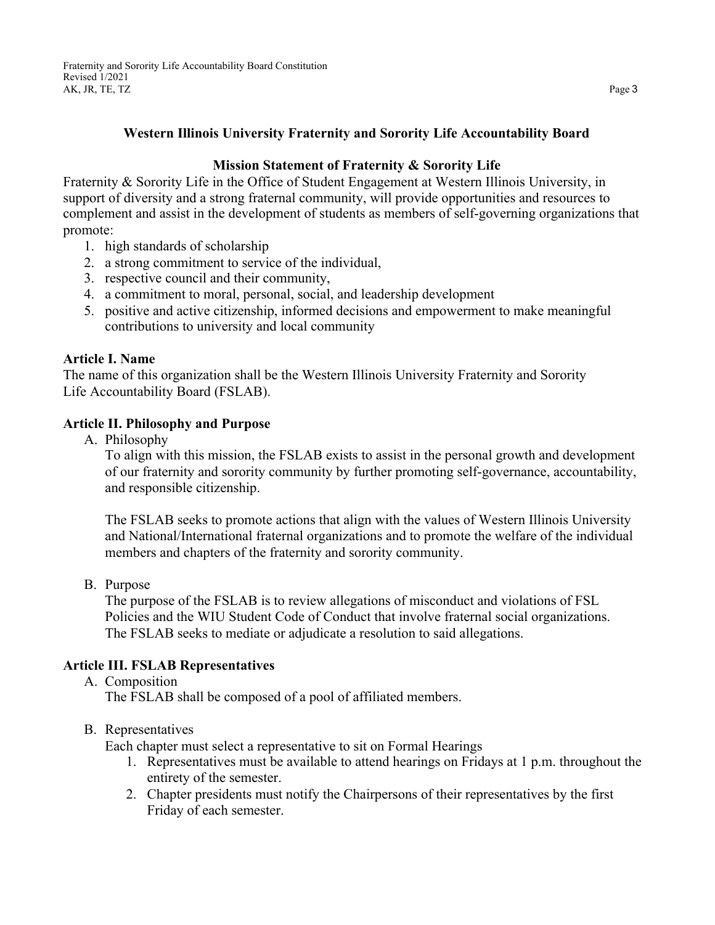### **Western Illinois University Fraternity and Sorority Life Accountability Board**

## **Mission Statement of Fraternity & Sorority Life**

Fraternity & Sorority Life in the Office of Student Engagement at Western Illinois University, in support of diversity and a strong fraternal community, will provide opportunities and resources to complement and assist in the development of students as members of self-governing organizations that promote:

- 1. high standards of scholarship
- 2. a strong commitment to service of the individual,
- 3. respective council and their community,
- 4. a commitment to moral, personal, social, and leadership development
- 5. positive and active citizenship, informed decisions and empowerment to make meaningful contributions to university and local community

#### <span id="page-2-0"></span>**Article I. Name**

The name of this organization shall be the Western Illinois University Fraternity and Sorority Life Accountability Board (FSLAB).

#### <span id="page-2-2"></span><span id="page-2-1"></span>**Article II. Philosophy and Purpose**

A. Philosophy

To align with this mission, the FSLAB exists to assist in the personal growth and development of our fraternity and sorority community by further promoting self-governance, accountability, and responsible citizenship.

The FSLAB seeks to promote actions that align with the values of Western Illinois University and National/International fraternal organizations and to promote the welfare of the individual members and chapters of the fraternity and sorority community.

<span id="page-2-3"></span>B. Purpose

The purpose of the FSLAB is to review allegations of misconduct and violations of FSL Policies and the WIU Student Code of Conduct that involve fraternal social organizations. The FSLAB seeks to mediate or adjudicate a resolution to said allegations.

### <span id="page-2-5"></span><span id="page-2-4"></span>**Article III. FSLAB Representatives**

A. Composition

The FSLAB shall be composed of a pool of affiliated members.

### <span id="page-2-6"></span>B. Representatives

Each chapter must select a representative to sit on Formal Hearings

- 1. Representatives must be available to attend hearings on Fridays at 1 p.m. throughout the entirety of the semester.
- 2. Chapter presidents must notify the Chairpersons of their representatives by the first Friday of each semester.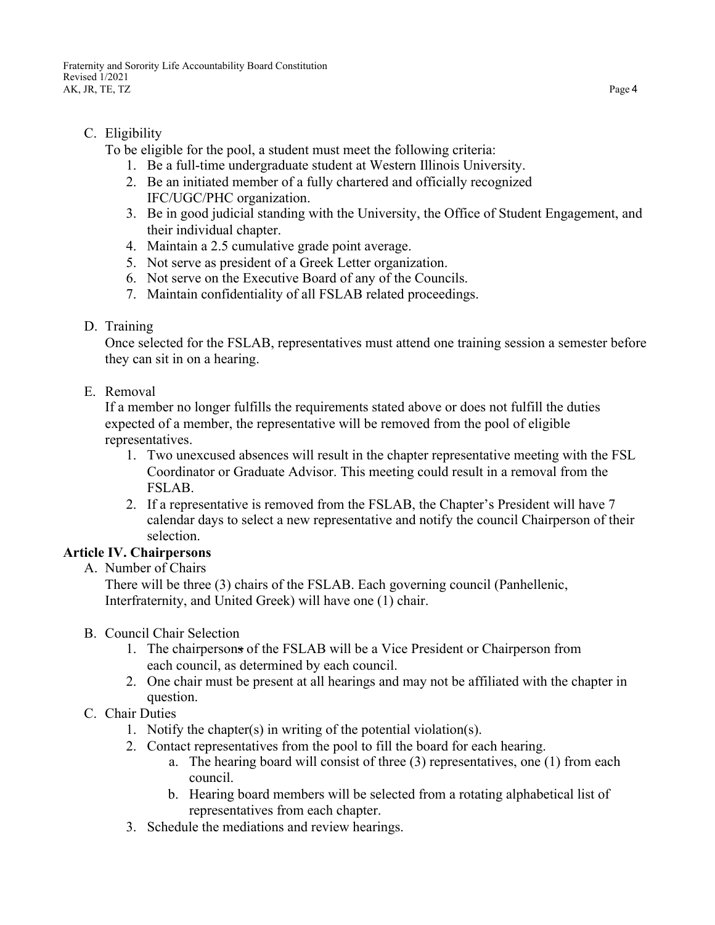## <span id="page-3-0"></span>C. Eligibility

To be eligible for the pool, a student must meet the following criteria:

- 1. Be a full-time undergraduate student at Western Illinois University.
- 2. Be an initiated member of a fully chartered and officially recognized IFC/UGC/PHC organization.
- 3. Be in good judicial standing with the University, the Office of Student Engagement, and their individual chapter.
- 4. Maintain a 2.5 cumulative grade point average.
- 5. Not serve as president of a Greek Letter organization.
- 6. Not serve on the Executive Board of any of the Councils.
- 7. Maintain confidentiality of all FSLAB related proceedings.

## <span id="page-3-1"></span>D. Training

Once selected for the FSLAB, representatives must attend one training session a semester before they can sit in on a hearing.

<span id="page-3-2"></span>E. Removal

If a member no longer fulfills the requirements stated above or does not fulfill the duties expected of a member, the representative will be removed from the pool of eligible representatives.

- 1. Two unexcused absences will result in the chapter representative meeting with the FSL Coordinator or Graduate Advisor. This meeting could result in a removal from the FSLAB.
- 2. If a representative is removed from the FSLAB, the Chapter's President will have 7 calendar days to select a new representative and notify the council Chairperson of their selection.

## <span id="page-3-4"></span><span id="page-3-3"></span>**Article IV. Chairpersons**

A. Number of Chairs

There will be three (3) chairs of the FSLAB. Each governing council (Panhellenic, Interfraternity, and United Greek) will have one (1) chair.

- <span id="page-3-5"></span>B. Council Chair Selection
	- 1. The chairpersons of the FSLAB will be a Vice President or Chairperson from each council, as determined by each council.
	- 2. One chair must be present at all hearings and may not be affiliated with the chapter in question.
- <span id="page-3-6"></span>C. Chair Duties
	- 1. Notify the chapter(s) in writing of the potential violation(s).
	- 2. Contact representatives from the pool to fill the board for each hearing.
		- a. The hearing board will consist of three (3) representatives, one (1) from each council.
		- b. Hearing board members will be selected from a rotating alphabetical list of representatives from each chapter.
	- 3. Schedule the mediations and review hearings.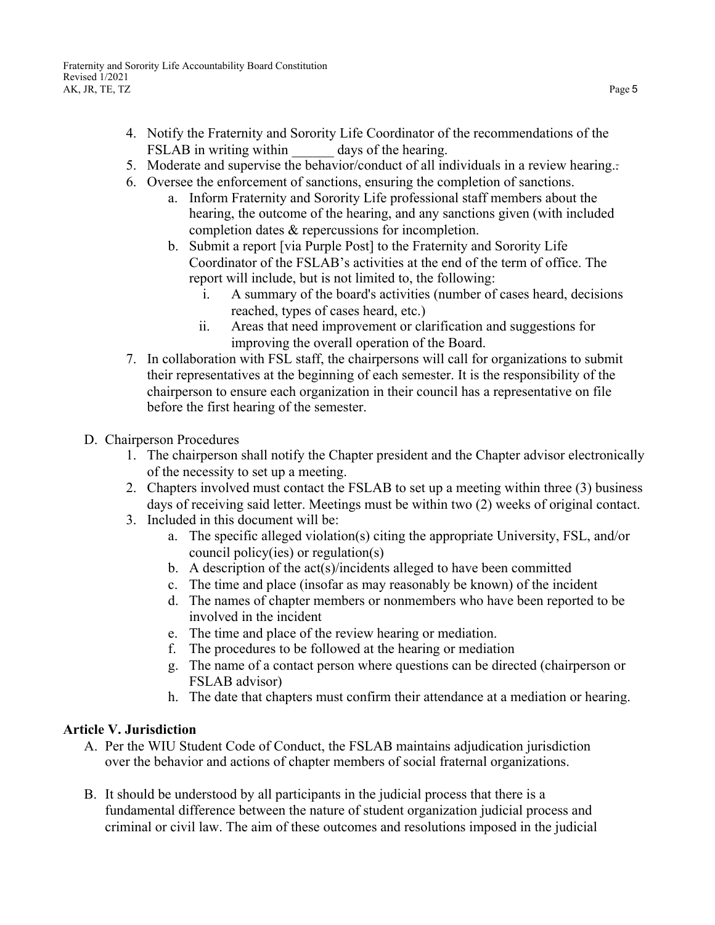- 4. Notify the Fraternity and Sorority Life Coordinator of the recommendations of the FSLAB in writing within days of the hearing.
- 5. Moderate and supervise the behavior/conduct of all individuals in a review hearing..
- 6. Oversee the enforcement of sanctions, ensuring the completion of sanctions.
	- a. Inform Fraternity and Sorority Life professional staff members about the hearing, the outcome of the hearing, and any sanctions given (with included completion dates & repercussions for incompletion.
	- b. Submit a report [via Purple Post] to the Fraternity and Sorority Life Coordinator of the FSLAB's activities at the end of the term of office. The report will include, but is not limited to, the following:
		- i. A summary of the board's activities (number of cases heard, decisions reached, types of cases heard, etc.)
		- ii. Areas that need improvement or clarification and suggestions for improving the overall operation of the Board.
- 7. In collaboration with FSL staff, the chairpersons will call for organizations to submit their representatives at the beginning of each semester. It is the responsibility of the chairperson to ensure each organization in their council has a representative on file before the first hearing of the semester.
- <span id="page-4-0"></span>D. Chairperson Procedures
	- 1. The chairperson shall notify the Chapter president and the Chapter advisor electronically of the necessity to set up a meeting.
	- 2. Chapters involved must contact the FSLAB to set up a meeting within three (3) business days of receiving said letter. Meetings must be within two (2) weeks of original contact.
	- 3. Included in this document will be:
		- a. The specific alleged violation(s) citing the appropriate University, FSL, and/or council policy(ies) or regulation(s)
		- b. A description of the  $act(s)/incidents$  alleged to have been committed
		- c. The time and place (insofar as may reasonably be known) of the incident
		- d. The names of chapter members or nonmembers who have been reported to be involved in the incident
		- e. The time and place of the review hearing or mediation.
		- f. The procedures to be followed at the hearing or mediation
		- g. The name of a contact person where questions can be directed (chairperson or FSLAB advisor)
		- h. The date that chapters must confirm their attendance at a mediation or hearing.

## <span id="page-4-1"></span>**Article V. Jurisdiction**

- A. Per the WIU Student Code of Conduct, the FSLAB maintains adjudication jurisdiction over the behavior and actions of chapter members of social fraternal organizations.
- B. It should be understood by all participants in the judicial process that there is a fundamental difference between the nature of student organization judicial process and criminal or civil law. The aim of these outcomes and resolutions imposed in the judicial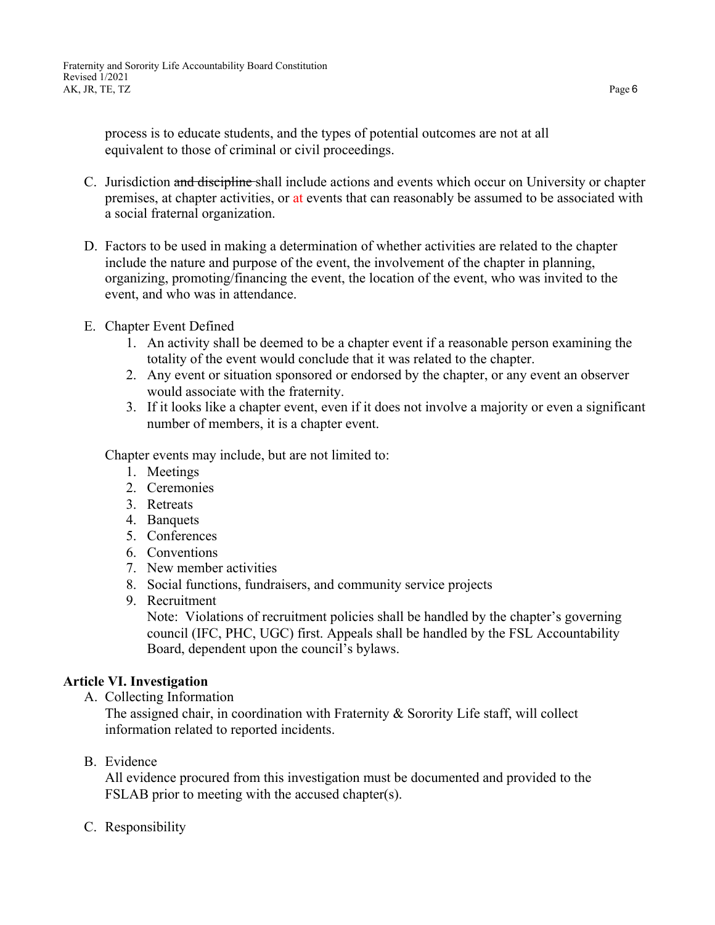process is to educate students, and the types of potential outcomes are not at all equivalent to those of criminal or civil proceedings.

- C. Jurisdiction and discipline shall include actions and events which occur on University or chapter premises, at chapter activities, or at events that can reasonably be assumed to be associated with a social fraternal organization.
- D. Factors to be used in making a determination of whether activities are related to the chapter include the nature and purpose of the event, the involvement of the chapter in planning, organizing, promoting/financing the event, the location of the event, who was invited to the event, and who was in attendance.
- E. Chapter Event Defined
	- 1. An activity shall be deemed to be a chapter event if a reasonable person examining the totality of the event would conclude that it was related to the chapter.
	- 2. Any event or situation sponsored or endorsed by the chapter, or any event an observer would associate with the fraternity.
	- 3. If it looks like a chapter event, even if it does not involve a majority or even a significant number of members, it is a chapter event.

Chapter events may include, but are not limited to:

- 1. Meetings
- 2. Ceremonies
- 3. Retreats
- 4. Banquets
- 5. Conferences
- 6. Conventions
- 7. New member activities
- 8. Social functions, fundraisers, and community service projects
- 9. Recruitment

Note: Violations of recruitment policies shall be handled by the chapter's governing council (IFC, PHC, UGC) first. Appeals shall be handled by the FSL Accountability Board, dependent upon the council's bylaws.

#### <span id="page-5-1"></span><span id="page-5-0"></span>**Article VI. Investigation**

A. Collecting Information

The assigned chair, in coordination with Fraternity & Sorority Life staff, will collect information related to reported incidents.

<span id="page-5-2"></span>B. Evidence

All evidence procured from this investigation must be documented and provided to the FSLAB prior to meeting with the accused chapter(s).

<span id="page-5-3"></span>C. Responsibility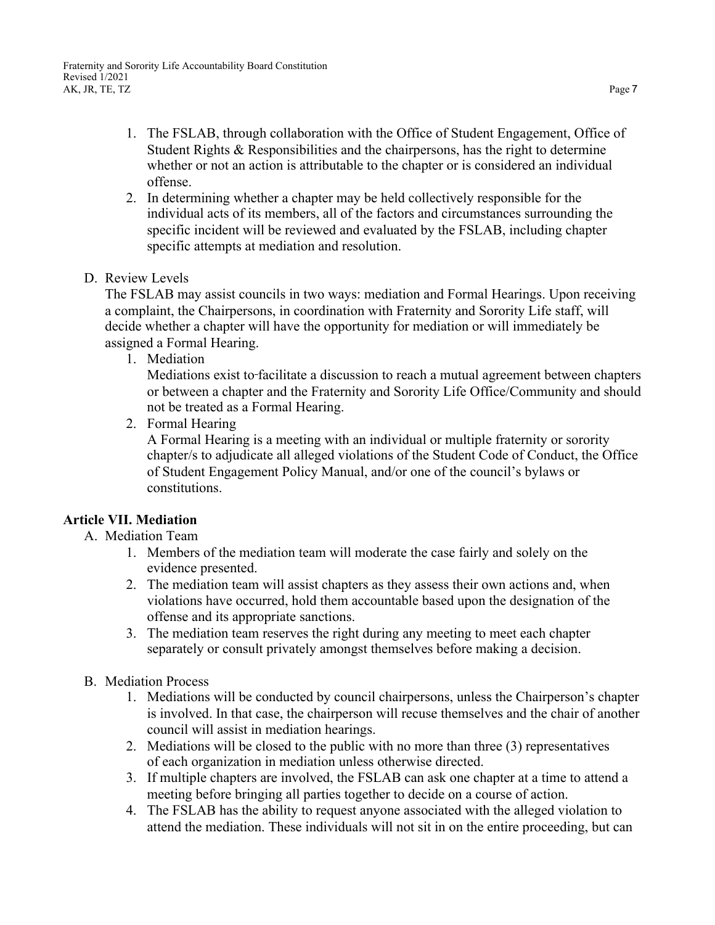- 1. The FSLAB, through collaboration with the Office of Student Engagement, Office of Student Rights & Responsibilities and the chairpersons, has the right to determine whether or not an action is attributable to the chapter or is considered an individual offense.
- 2. In determining whether a chapter may be held collectively responsible for the individual acts of its members, all of the factors and circumstances surrounding the specific incident will be reviewed and evaluated by the FSLAB, including chapter specific attempts at mediation and resolution.
- <span id="page-6-0"></span>D. Review Levels

The FSLAB may assist councils in two ways: mediation and Formal Hearings. Upon receiving a complaint, the Chairpersons, in coordination with Fraternity and Sorority Life staff, will decide whether a chapter will have the opportunity for mediation or will immediately be assigned a Formal Hearing.

<span id="page-6-1"></span>1. Mediation

Mediations exist to facilitate a discussion to reach a mutual agreement between chapters or between a chapter and the Fraternity and Sorority Life Office/Community and should not be treated as a Formal Hearing.

<span id="page-6-2"></span>2. Formal Hearing

A Formal Hearing is a meeting with an individual or multiple fraternity or sorority chapter/s to adjudicate all alleged violations of the Student Code of Conduct, the Office of Student Engagement Policy Manual, and/or one of the council's bylaws or constitutions.

### <span id="page-6-4"></span><span id="page-6-3"></span>**Article VII. Mediation**

### A. Mediation Team

- 1. Members of the mediation team will moderate the case fairly and solely on the evidence presented.
- 2. The mediation team will assist chapters as they assess their own actions and, when violations have occurred, hold them accountable based upon the designation of the offense and its appropriate sanctions.
- 3. The mediation team reserves the right during any meeting to meet each chapter separately or consult privately amongst themselves before making a decision.
- <span id="page-6-5"></span>B. Mediation Process
	- 1. Mediations will be conducted by council chairpersons, unless the Chairperson's chapter is involved. In that case, the chairperson will recuse themselves and the chair of another council will assist in mediation hearings.
	- 2. Mediations will be closed to the public with no more than three (3) representatives of each organization in mediation unless otherwise directed.
	- 3. If multiple chapters are involved, the FSLAB can ask one chapter at a time to attend a meeting before bringing all parties together to decide on a course of action.
	- 4. The FSLAB has the ability to request anyone associated with the alleged violation to attend the mediation. These individuals will not sit in on the entire proceeding, but can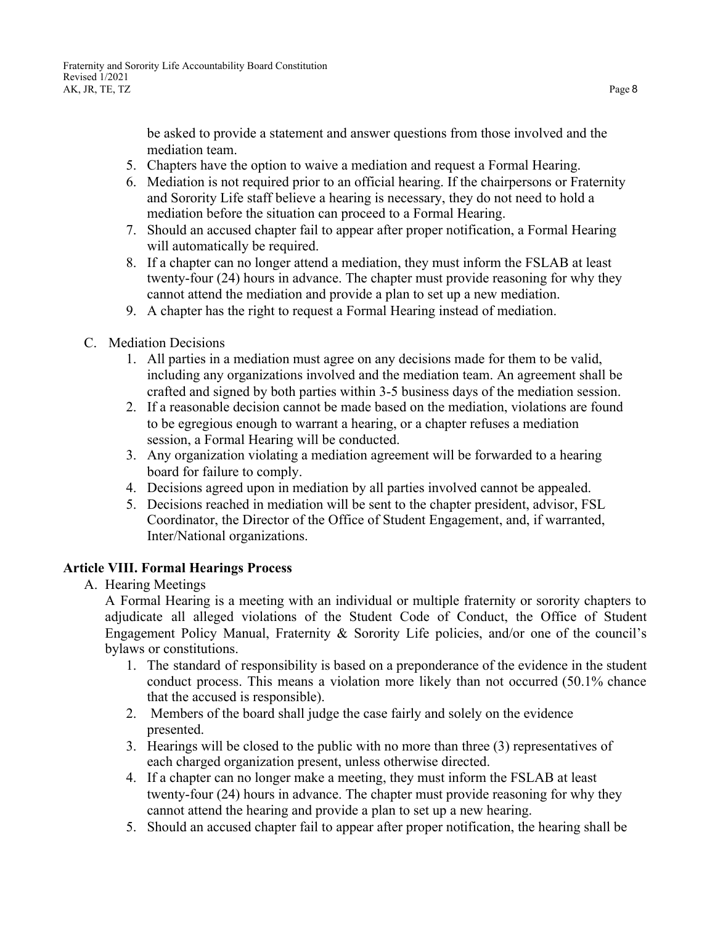be asked to provide a statement and answer questions from those involved and the mediation team.

- 5. Chapters have the option to waive a mediation and request a Formal Hearing.
- 6. Mediation is not required prior to an official hearing. If the chairpersons or Fraternity and Sorority Life staff believe a hearing is necessary, they do not need to hold a mediation before the situation can proceed to a Formal Hearing.
- 7. Should an accused chapter fail to appear after proper notification, a Formal Hearing will automatically be required.
- 8. If a chapter can no longer attend a mediation, they must inform the FSLAB at least twenty-four (24) hours in advance. The chapter must provide reasoning for why they cannot attend the mediation and provide a plan to set up a new mediation.
- 9. A chapter has the right to request a Formal Hearing instead of mediation.
- <span id="page-7-0"></span>C. Mediation Decisions
	- 1. All parties in a mediation must agree on any decisions made for them to be valid, including any organizations involved and the mediation team. An agreement shall be crafted and signed by both parties within 3-5 business days of the mediation session.
	- 2. If a reasonable decision cannot be made based on the mediation, violations are found to be egregious enough to warrant a hearing, or a chapter refuses a mediation session, a Formal Hearing will be conducted.
	- 3. Any organization violating a mediation agreement will be forwarded to a hearing board for failure to comply.
	- 4. Decisions agreed upon in mediation by all parties involved cannot be appealed.
	- 5. Decisions reached in mediation will be sent to the chapter president, advisor, FSL Coordinator, the Director of the Office of Student Engagement, and, if warranted, Inter/National organizations.

### <span id="page-7-2"></span><span id="page-7-1"></span>**Article VIII. Formal Hearings Process**

A. Hearing Meetings

A Formal Hearing is a meeting with an individual or multiple fraternity or sorority chapters to adjudicate all alleged violations of the Student Code of Conduct, the Office of Student Engagement Policy Manual, Fraternity & Sorority Life policies, and/or one of the council's bylaws or constitutions.

- 1. The standard of responsibility is based on a preponderance of the evidence in the student conduct process. This means a violation more likely than not occurred (50.1% chance that the accused is responsible).
- 2. Members of the board shall judge the case fairly and solely on the evidence presented.
- 3. Hearings will be closed to the public with no more than three (3) representatives of each charged organization present, unless otherwise directed.
- 4. If a chapter can no longer make a meeting, they must inform the FSLAB at least twenty-four (24) hours in advance. The chapter must provide reasoning for why they cannot attend the hearing and provide a plan to set up a new hearing.
- 5. Should an accused chapter fail to appear after proper notification, the hearing shall be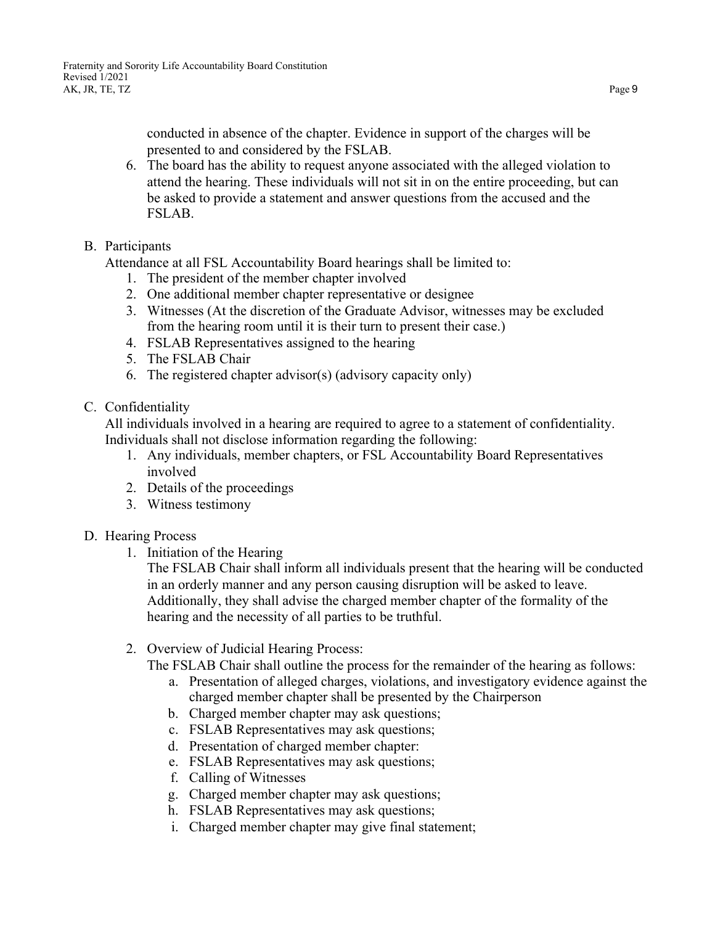conducted in absence of the chapter. Evidence in support of the charges will be presented to and considered by the FSLAB.

- 6. The board has the ability to request anyone associated with the alleged violation to attend the hearing. These individuals will not sit in on the entire proceeding, but can be asked to provide a statement and answer questions from the accused and the FSLAB.
- <span id="page-8-0"></span>B. Participants

Attendance at all FSL Accountability Board hearings shall be limited to:

- 1. The president of the member chapter involved
- 2. One additional member chapter representative or designee
- 3. Witnesses (At the discretion of the Graduate Advisor, witnesses may be excluded from the hearing room until it is their turn to present their case.)
- 4. FSLAB Representatives assigned to the hearing
- 5. The FSLAB Chair
- 6. The registered chapter advisor(s) (advisory capacity only)
- <span id="page-8-1"></span>C. Confidentiality

All individuals involved in a hearing are required to agree to a statement of confidentiality. Individuals shall not disclose information regarding the following:

- 1. Any individuals, member chapters, or FSL Accountability Board Representatives involved
- 2. Details of the proceedings
- 3. Witness testimony
- <span id="page-8-2"></span>D. Hearing Process
	- 1. Initiation of the Hearing

The FSLAB Chair shall inform all individuals present that the hearing will be conducted in an orderly manner and any person causing disruption will be asked to leave. Additionally, they shall advise the charged member chapter of the formality of the hearing and the necessity of all parties to be truthful.

2. Overview of Judicial Hearing Process:

The FSLAB Chair shall outline the process for the remainder of the hearing as follows:

- a. Presentation of alleged charges, violations, and investigatory evidence against the charged member chapter shall be presented by the Chairperson
- b. Charged member chapter may ask questions;
- c. FSLAB Representatives may ask questions;
- d. Presentation of charged member chapter:
- e. FSLAB Representatives may ask questions;
- f. Calling of Witnesses
- g. Charged member chapter may ask questions;
- h. FSLAB Representatives may ask questions;
- i. Charged member chapter may give final statement;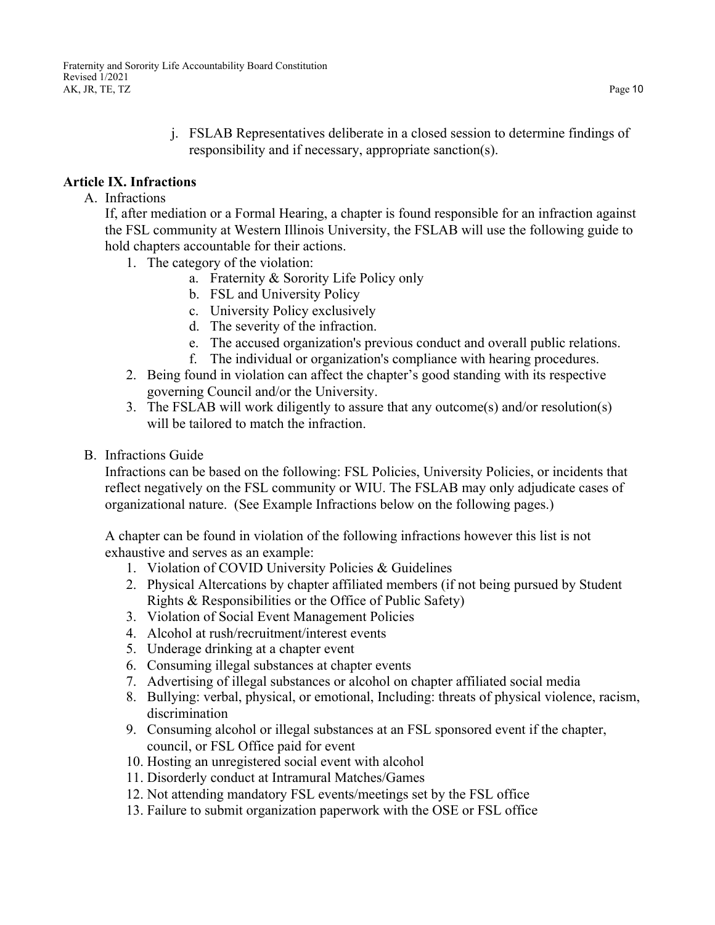j. FSLAB Representatives deliberate in a closed session to determine findings of responsibility and if necessary, appropriate sanction(s).

### <span id="page-9-0"></span>**Article IX. Infractions**

#### A. Infractions

If, after mediation or a Formal Hearing, a chapter is found responsible for an infraction against the FSL community at Western Illinois University, the FSLAB will use the following guide to hold chapters accountable for their actions.

- 1. The category of the violation:
	- a. Fraternity & Sorority Life Policy only
	- b. FSL and University Policy
	- c. University Policy exclusively
	- d. The severity of the infraction.
	- e. The accused organization's previous conduct and overall public relations.
	- f. The individual or organization's compliance with hearing procedures.
- 2. Being found in violation can affect the chapter's good standing with its respective governing Council and/or the University.
- 3. The FSLAB will work diligently to assure that any outcome(s) and/or resolution(s) will be tailored to match the infraction.
- <span id="page-9-1"></span>B. Infractions Guide

Infractions can be based on the following: FSL Policies, University Policies, or incidents that reflect negatively on the FSL community or WIU. The FSLAB may only adjudicate cases of organizational nature. (See Example Infractions below on the following pages.)

A chapter can be found in violation of the following infractions however this list is not exhaustive and serves as an example:

- 1. Violation of COVID University Policies & Guidelines
- 2. Physical Altercations by chapter affiliated members (if not being pursued by Student Rights & Responsibilities or the Office of Public Safety)
- 3. Violation of Social Event Management Policies
- 4. Alcohol at rush/recruitment/interest events
- 5. Underage drinking at a chapter event
- 6. Consuming illegal substances at chapter events
- 7. Advertising of illegal substances or alcohol on chapter affiliated social media
- 8. Bullying: verbal, physical, or emotional, Including: threats of physical violence, racism, discrimination
- 9. Consuming alcohol or illegal substances at an FSL sponsored event if the chapter, council, or FSL Office paid for event
- 10. Hosting an unregistered social event with alcohol
- 11. Disorderly conduct at Intramural Matches/Games
- 12. Not attending mandatory FSL events/meetings set by the FSL office
- 13. Failure to submit organization paperwork with the OSE or FSL office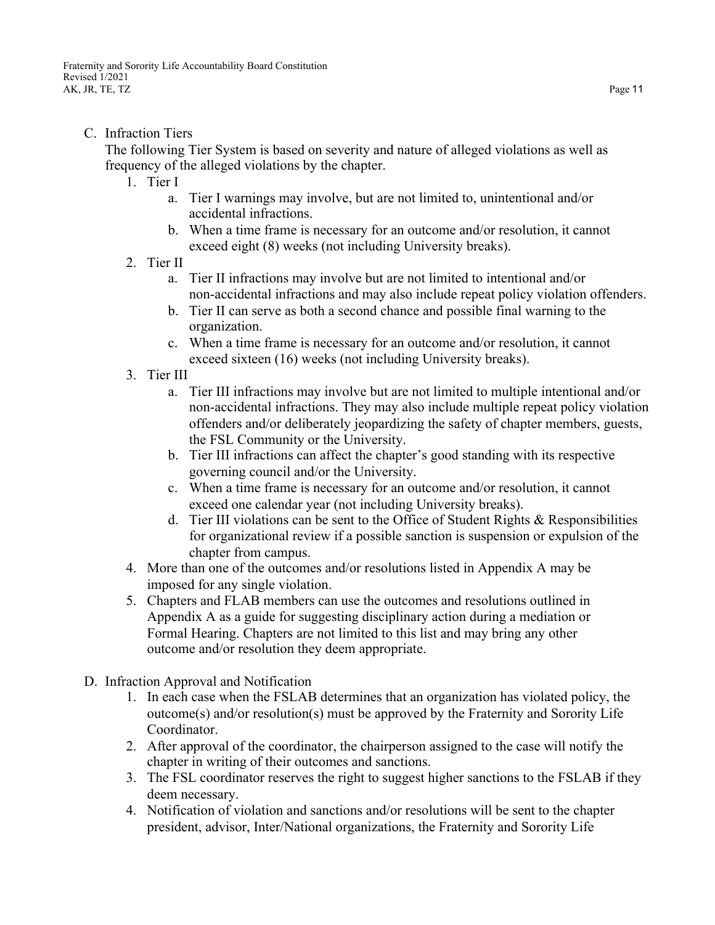<span id="page-10-0"></span>C. Infraction Tiers

<span id="page-10-1"></span>The following Tier System is based on severity and nature of alleged violations as well as frequency of the alleged violations by the chapter.

- 1. Tier I
	- a. Tier I warnings may involve, but are not limited to, unintentional and/or accidental infractions.
	- b. When a time frame is necessary for an outcome and/or resolution, it cannot exceed eight (8) weeks (not including University breaks).
- <span id="page-10-2"></span>2. Tier II
	- a. Tier II infractions may involve but are not limited to intentional and/or non-accidental infractions and may also include repeat policy violation offenders.
	- b. Tier II can serve as both a second chance and possible final warning to the organization.
	- c. When a time frame is necessary for an outcome and/or resolution, it cannot exceed sixteen (16) weeks (not including University breaks).
- <span id="page-10-3"></span>3. Tier III
	- a. Tier III infractions may involve but are not limited to multiple intentional and/or non-accidental infractions. They may also include multiple repeat policy violation offenders and/or deliberately jeopardizing the safety of chapter members, guests, the FSL Community or the University.
	- b. Tier III infractions can affect the chapter's good standing with its respective governing council and/or the University.
	- c. When a time frame is necessary for an outcome and/or resolution, it cannot exceed one calendar year (not including University breaks).
	- d. Tier III violations can be sent to the Office of Student Rights & Responsibilities for organizational review if a possible sanction is suspension or expulsion of the chapter from campus.
- 4. More than one of the outcomes and/or resolutions listed in Appendix A may be imposed for any single violation.
- 5. Chapters and FLAB members can use the outcomes and resolutions outlined in Appendix A as a guide for suggesting disciplinary action during a mediation or Formal Hearing. Chapters are not limited to this list and may bring any other outcome and/or resolution they deem appropriate.
- <span id="page-10-4"></span>D. Infraction Approval and Notification
	- 1. In each case when the FSLAB determines that an organization has violated policy, the outcome(s) and/or resolution(s) must be approved by the Fraternity and Sorority Life Coordinator.
	- 2. After approval of the coordinator, the chairperson assigned to the case will notify the chapter in writing of their outcomes and sanctions.
	- 3. The FSL coordinator reserves the right to suggest higher sanctions to the FSLAB if they deem necessary.
	- 4. Notification of violation and sanctions and/or resolutions will be sent to the chapter president, advisor, Inter/National organizations, the Fraternity and Sorority Life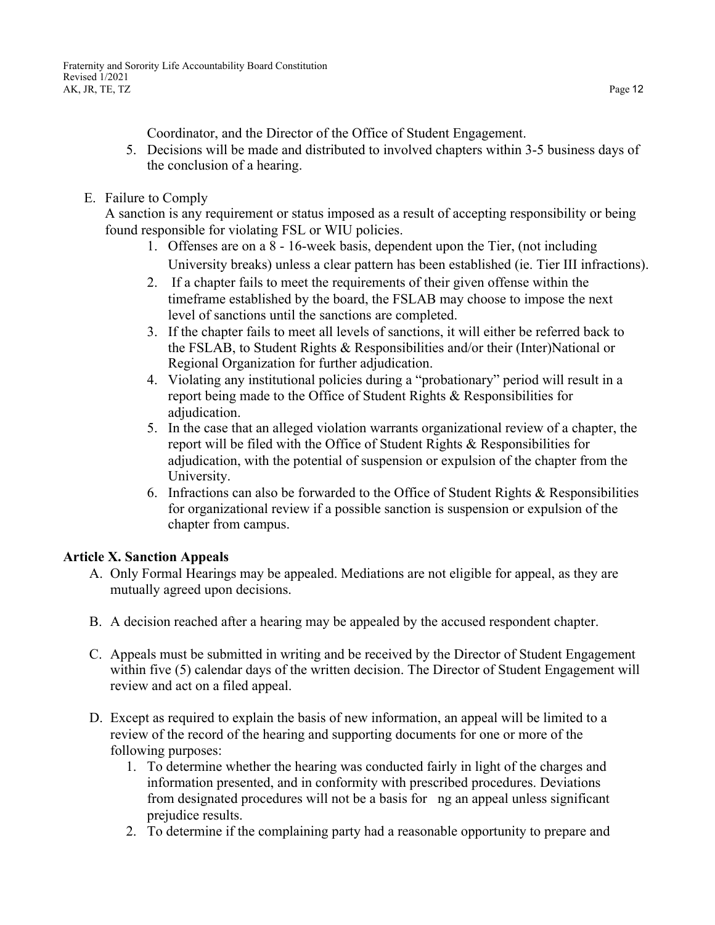Coordinator, and the Director of the Office of Student Engagement.

- 5. Decisions will be made and distributed to involved chapters within 3-5 business days of the conclusion of a hearing.
- <span id="page-11-0"></span>E. Failure to Comply

A sanction is any requirement or status imposed as a result of accepting responsibility or being found responsible for violating FSL or WIU policies.

- 1. Offenses are on a 8 16-week basis, dependent upon the Tier, (not including University breaks) unless a clear pattern has been established (ie. Tier III infractions).
- 2. If a chapter fails to meet the requirements of their given offense within the timeframe established by the board, the FSLAB may choose to impose the next level of sanctions until the sanctions are completed.
- 3. If the chapter fails to meet all levels of sanctions, it will either be referred back to the FSLAB, to Student Rights & Responsibilities and/or their (Inter)National or Regional Organization for further adjudication.
- 4. Violating any institutional policies during a "probationary" period will result in a report being made to the Office of Student Rights & Responsibilities for adjudication.
- 5. In the case that an alleged violation warrants organizational review of a chapter, the report will be filed with the Office of Student Rights & Responsibilities for adjudication, with the potential of suspension or expulsion of the chapter from the University.
- 6. Infractions can also be forwarded to the Office of Student Rights & Responsibilities for organizational review if a possible sanction is suspension or expulsion of the chapter from campus.

## <span id="page-11-1"></span>**Article X. Sanction Appeals**

- A. Only Formal Hearings may be appealed. Mediations are not eligible for appeal, as they are mutually agreed upon decisions.
- B. A decision reached after a hearing may be appealed by the accused respondent chapter.
- C. Appeals must be submitted in writing and be received by the Director of Student Engagement within five (5) calendar days of the written decision. The Director of Student Engagement will review and act on a filed appeal.
- D. Except as required to explain the basis of new information, an appeal will be limited to a review of the record of the hearing and supporting documents for one or more of the following purposes:
	- 1. To determine whether the hearing was conducted fairly in light of the charges and information presented, and in conformity with prescribed procedures. Deviations from designated procedures will not be a basis for ng an appeal unless significant prejudice results.
	- 2. To determine if the complaining party had a reasonable opportunity to prepare and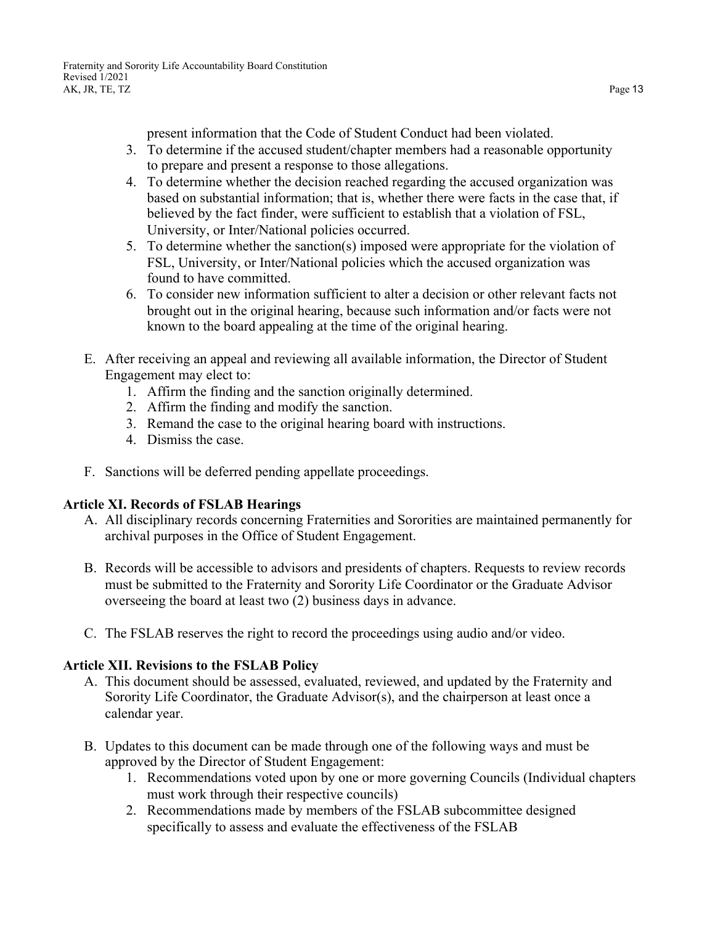present information that the Code of Student Conduct had been violated.

- 3. To determine if the accused student/chapter members had a reasonable opportunity to prepare and present a response to those allegations.
- 4. To determine whether the decision reached regarding the accused organization was based on substantial information; that is, whether there were facts in the case that, if believed by the fact finder, were sufficient to establish that a violation of FSL, University, or Inter/National policies occurred.
- 5. To determine whether the sanction(s) imposed were appropriate for the violation of FSL, University, or Inter/National policies which the accused organization was found to have committed.
- 6. To consider new information sufficient to alter a decision or other relevant facts not brought out in the original hearing, because such information and/or facts were not known to the board appealing at the time of the original hearing.
- E. After receiving an appeal and reviewing all available information, the Director of Student Engagement may elect to:
	- 1. Affirm the finding and the sanction originally determined.
	- 2. Affirm the finding and modify the sanction.
	- 3. Remand the case to the original hearing board with instructions.
	- 4. Dismiss the case.
- F. Sanctions will be deferred pending appellate proceedings.

## <span id="page-12-0"></span>**Article XI. Records of FSLAB Hearings**

- A. All disciplinary records concerning Fraternities and Sororities are maintained permanently for archival purposes in the Office of Student Engagement.
- B. Records will be accessible to advisors and presidents of chapters. Requests to review records must be submitted to the Fraternity and Sorority Life Coordinator or the Graduate Advisor overseeing the board at least two (2) business days in advance.
- C. The FSLAB reserves the right to record the proceedings using audio and/or video.

## <span id="page-12-1"></span>**Article XII. Revisions to the FSLAB Policy**

- A. This document should be assessed, evaluated, reviewed, and updated by the Fraternity and Sorority Life Coordinator, the Graduate Advisor(s), and the chairperson at least once a calendar year.
- B. Updates to this document can be made through one of the following ways and must be approved by the Director of Student Engagement:
	- 1. Recommendations voted upon by one or more governing Councils (Individual chapters must work through their respective councils)
	- 2. Recommendations made by members of the FSLAB subcommittee designed specifically to assess and evaluate the effectiveness of the FSLAB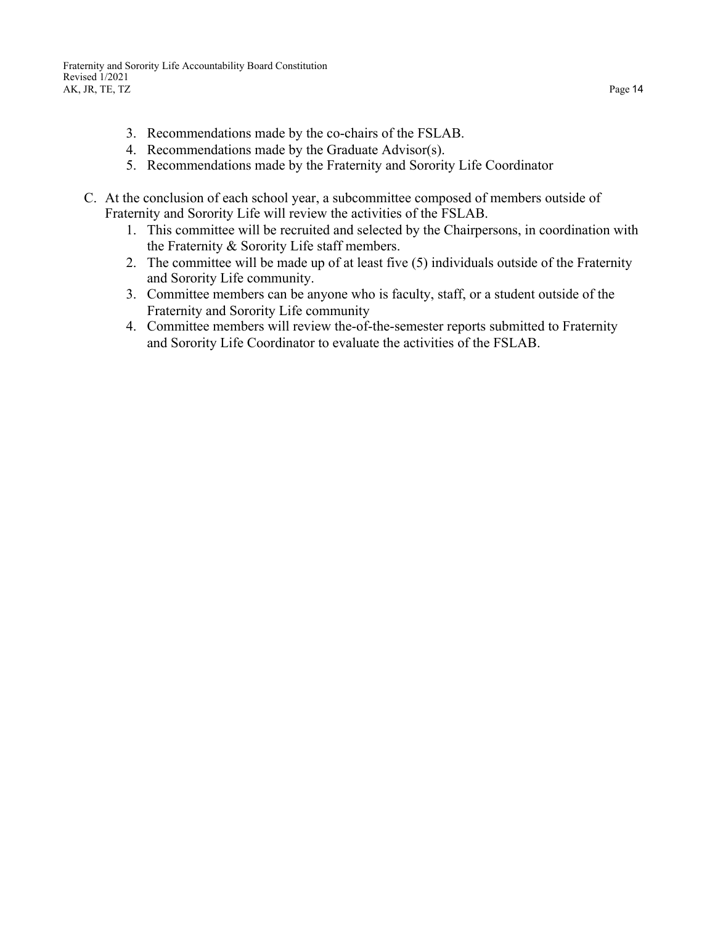- 3. Recommendations made by the co-chairs of the FSLAB.
- 4. Recommendations made by the Graduate Advisor(s).
- 5. Recommendations made by the Fraternity and Sorority Life Coordinator
- <span id="page-13-0"></span>C. At the conclusion of each school year, a subcommittee composed of members outside of Fraternity and Sorority Life will review the activities of the FSLAB.
	- 1. This committee will be recruited and selected by the Chairpersons, in coordination with the Fraternity & Sorority Life staff members.
	- 2. The committee will be made up of at least five (5) individuals outside of the Fraternity and Sorority Life community.
	- 3. Committee members can be anyone who is faculty, staff, or a student outside of the Fraternity and Sorority Life community
	- 4. Committee members will review the-of-the-semester reports submitted to Fraternity and Sorority Life Coordinator to evaluate the activities of the FSLAB.